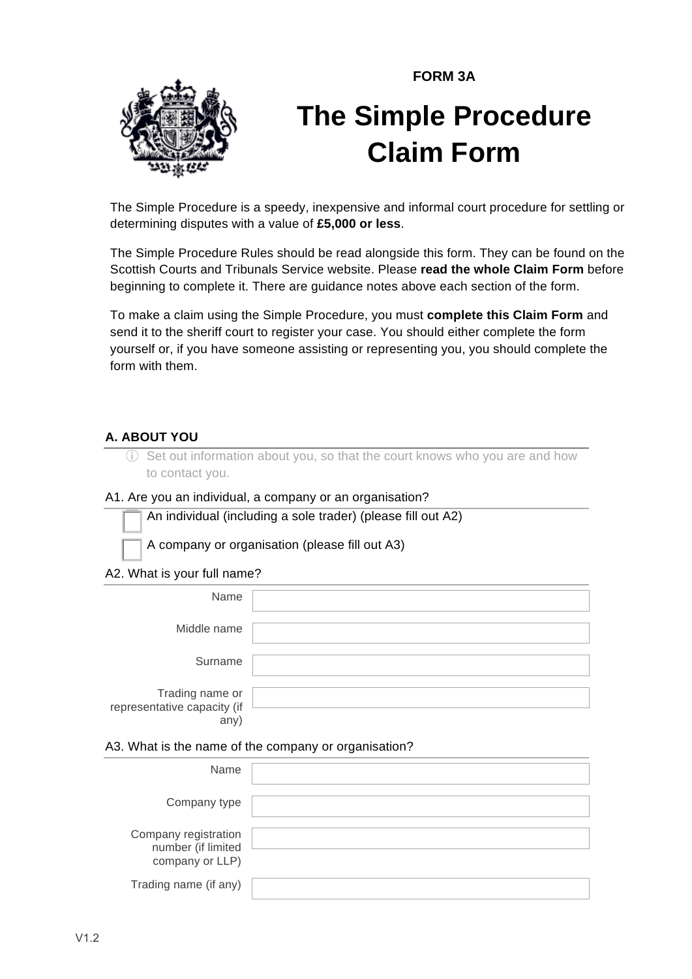**FORM 3A**



# **The Simple Procedure Claim Form**

The Simple Procedure is a speedy, inexpensive and informal court procedure for settling or determining disputes with a value of **£5,000 or less**.

The Simple Procedure Rules should be read alongside this form. They can be found on the Scottish Courts and Tribunals Service website. Please **read the whole Claim Form** before beginning to complete it. There are guidance notes above each section of the form.

To make a claim using the Simple Procedure, you must **complete this Claim Form** and send it to the sheriff court to register your case. You should either complete the form yourself or, if you have someone assisting or representing you, you should complete the form with them.

#### **A. ABOUT YOU**

ⓘ Set out information about you, so that the court knows who you are and how to contact you.

#### A1. Are you an individual, a company or an organisation?

! An individual (including a sole trader) (please fill out A2)

! A company or organisation (please fill out A3)

A2. What is your full name?

| Name                                                  |  |
|-------------------------------------------------------|--|
| Middle name                                           |  |
| Surname                                               |  |
| Trading name or<br>representative capacity (if<br>any |  |

#### A3. What is the name of the company or organisation?

| Name                                                          |  |
|---------------------------------------------------------------|--|
| Company type                                                  |  |
| Company registration<br>number (if limited<br>company or LLP) |  |
| Trading name (if any)                                         |  |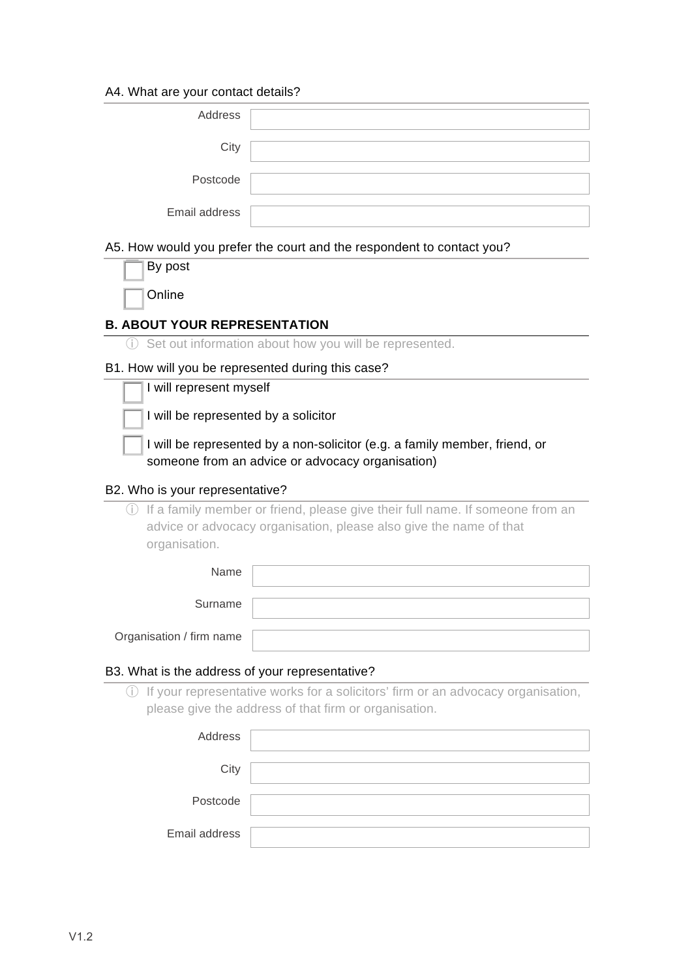#### A4. What are your contact details?

| Address       |  |
|---------------|--|
| City          |  |
| Postcode      |  |
| Email address |  |

#### A5. How would you prefer the court and the respondent to contact you?

| By post |
|---------|
| Online  |

#### **B. ABOUT YOUR REPRESENTATION**

ⓘ Set out information about how you will be represented.

#### B1. How will you be represented during this case?

|  | I will represent myself |  |
|--|-------------------------|--|
|  |                         |  |

I will be represented by a solicitor

I will be represented by a non-solicitor (e.g. a family member, friend, or someone from an advice or advocacy organisation)

#### B2. Who is your representative?

ⓘ If a family member or friend, please give their full name. If someone from an advice or advocacy organisation, please also give the name of that organisation.

| Name                     |  |
|--------------------------|--|
| Surname                  |  |
| Organisation / firm name |  |

#### B3. What is the address of your representative?

ⓘ If your representative works for a solicitors' firm or an advocacy organisation, please give the address of that firm or organisation.

| Address       |  |
|---------------|--|
| City          |  |
| Postcode      |  |
| Email address |  |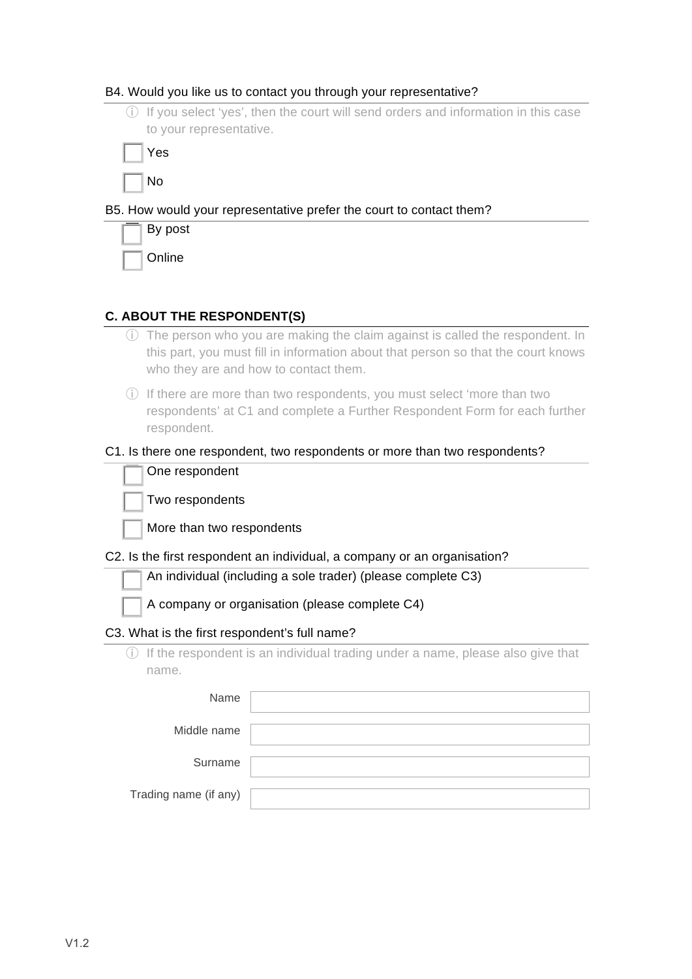#### B4. Would you like us to contact you through your representative?

ⓘ If you select 'yes', then the court will send orders and information in this case to your representative.

! Yes

#### B5. How would your representative prefer the court to contact them?

| By post |
|---------|
| Online  |

#### **C. ABOUT THE RESPONDENT(S)**

- ⓘ The person who you are making the claim against is called the respondent. In this part, you must fill in information about that person so that the court knows who they are and how to contact them.
- ⓘ If there are more than two respondents, you must select 'more than two respondents' at C1 and complete a Further Respondent Form for each further respondent.

|                                                | C1. Is there one respondent, two respondents or more than two respondents?     |
|------------------------------------------------|--------------------------------------------------------------------------------|
| One respondent                                 |                                                                                |
| Two respondents                                |                                                                                |
| More than two respondents                      |                                                                                |
|                                                | C2. Is the first respondent an individual, a company or an organisation?       |
|                                                | An individual (including a sole trader) (please complete C3)                   |
| A company or organisation (please complete C4) |                                                                                |
| C3. What is the first respondent's full name?  |                                                                                |
|                                                | If the respondent is an individual trading under a name, please also give that |
| name.                                          |                                                                                |
| Name                                           |                                                                                |
| Middle name                                    |                                                                                |
|                                                |                                                                                |
| Surname                                        |                                                                                |
|                                                |                                                                                |

Trading name (if any)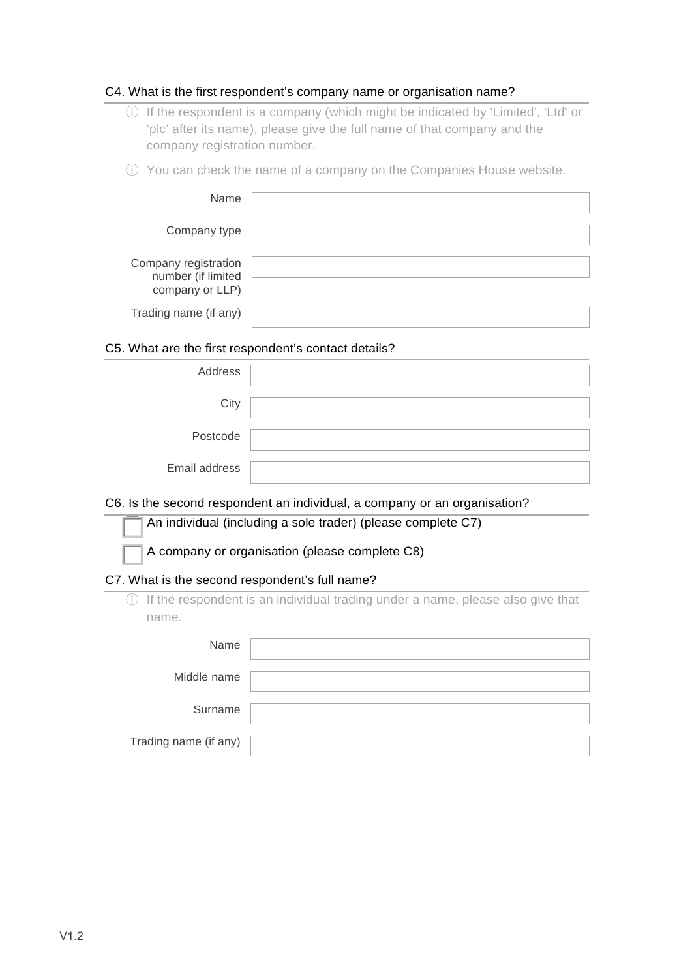#### C4. What is the first respondent's company name or organisation name?

- ⓘ If the respondent is a company (which might be indicated by 'Limited', 'Ltd' or 'plc' after its name), please give the full name of that company and the company registration number.
- ⓘ You can check the name of a company on the Companies House website.

| Name                                                          |  |
|---------------------------------------------------------------|--|
| Company type                                                  |  |
| Company registration<br>number (if limited<br>company or LLP) |  |
| Trading name (if any)                                         |  |

#### C5. What are the first respondent's contact details?

| Address       |  |
|---------------|--|
| City          |  |
| Postcode      |  |
| Email address |  |

#### C6. Is the second respondent an individual, a company or an organisation?

|  | An individual (including a sole trader) (please complete C7) |  |  |  |  |
|--|--------------------------------------------------------------|--|--|--|--|
|--|--------------------------------------------------------------|--|--|--|--|

A company or organisation (please complete C8)

#### C7. What is the second respondent's full name?

ⓘ If the respondent is an individual trading under a name, please also give that name.

| Name                  |  |
|-----------------------|--|
| Middle name           |  |
| Surname               |  |
| Trading name (if any) |  |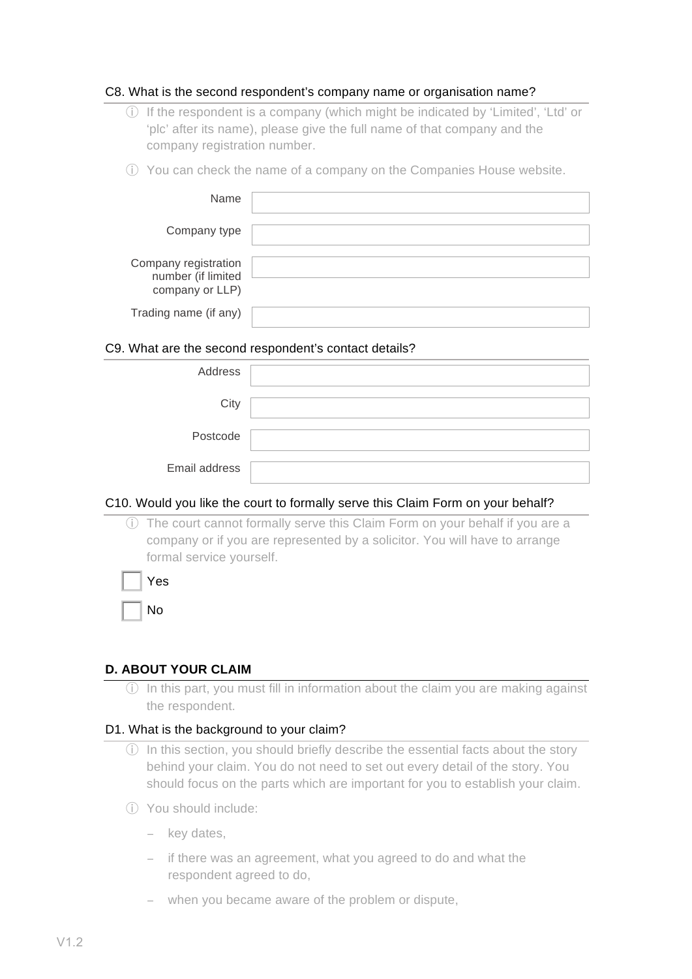#### C8. What is the second respondent's company name or organisation name?

- ⓘ If the respondent is a company (which might be indicated by 'Limited', 'Ltd' or 'plc' after its name), please give the full name of that company and the company registration number.
- ⓘ You can check the name of a company on the Companies House website.

| Name                                                          |  |
|---------------------------------------------------------------|--|
| Company type                                                  |  |
| Company registration<br>number (if limited<br>company or LLP) |  |
| Trading name (if any)                                         |  |

#### C9. What are the second respondent's contact details?

| Address       |  |
|---------------|--|
| City          |  |
| Postcode      |  |
| Email address |  |

#### C10. Would you like the court to formally serve this Claim Form on your behalf?

ⓘ The court cannot formally serve this Claim Form on your behalf if you are a company or if you are represented by a solicitor. You will have to arrange formal service yourself.

| Yes |
|-----|
| No  |

#### **D. ABOUT YOUR CLAIM**

ⓘ In this part, you must fill in information about the claim you are making against the respondent.

#### D1. What is the background to your claim?

- ⓘ In this section, you should briefly describe the essential facts about the story behind your claim. You do not need to set out every detail of the story. You should focus on the parts which are important for you to establish your claim.
- ⓘ You should include:
	- − key dates,
	- − if there was an agreement, what you agreed to do and what the respondent agreed to do,
	- − when you became aware of the problem or dispute,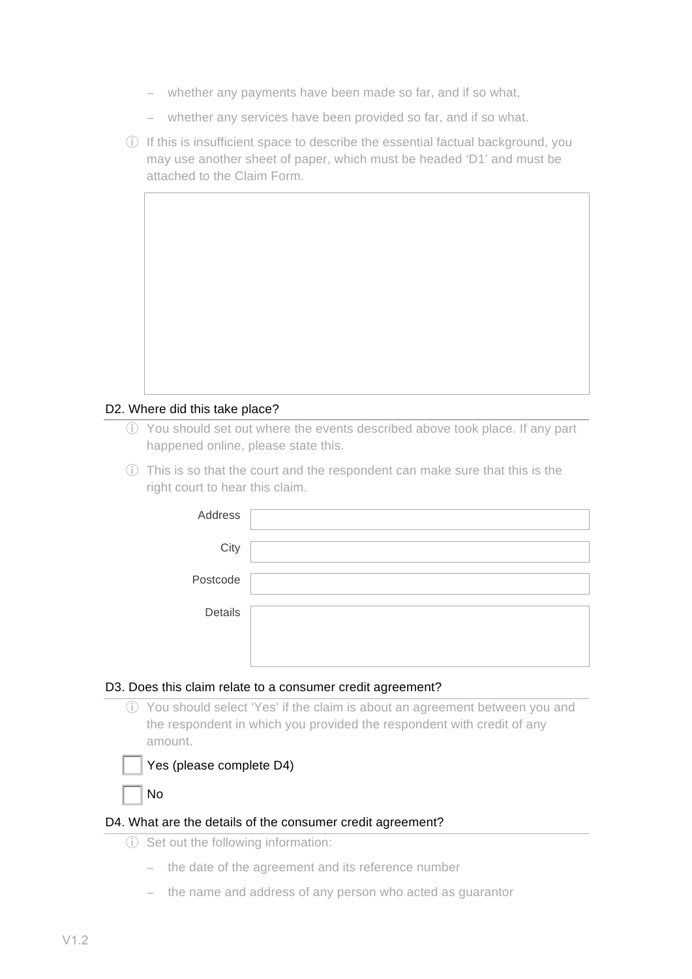- − whether any payments have been made so far, and if so what,
- − whether any services have been provided so far, and if so what.
- ⓘ If this is insufficient space to describe the essential factual background, you may use another sheet of paper, which must be headed 'D1' and must be attached to the Claim Form.

#### D2. Where did this take place?

- ⓘ You should set out where the events described above took place. If any part happened online, please state this.
- ⓘ This is so that the court and the respondent can make sure that this is the right court to hear this claim.

| Address  |  |
|----------|--|
| City     |  |
| Postcode |  |
| Details  |  |
|          |  |

#### D3. Does this claim relate to a consumer credit agreement?

ⓘ You should select 'Yes' if the claim is about an agreement between you and the respondent in which you provided the respondent with credit of any amount.



! No

#### D4. What are the details of the consumer credit agreement?

- ⓘ Set out the following information:
	- − the date of the agreement and its reference number
	- − the name and address of any person who acted as guarantor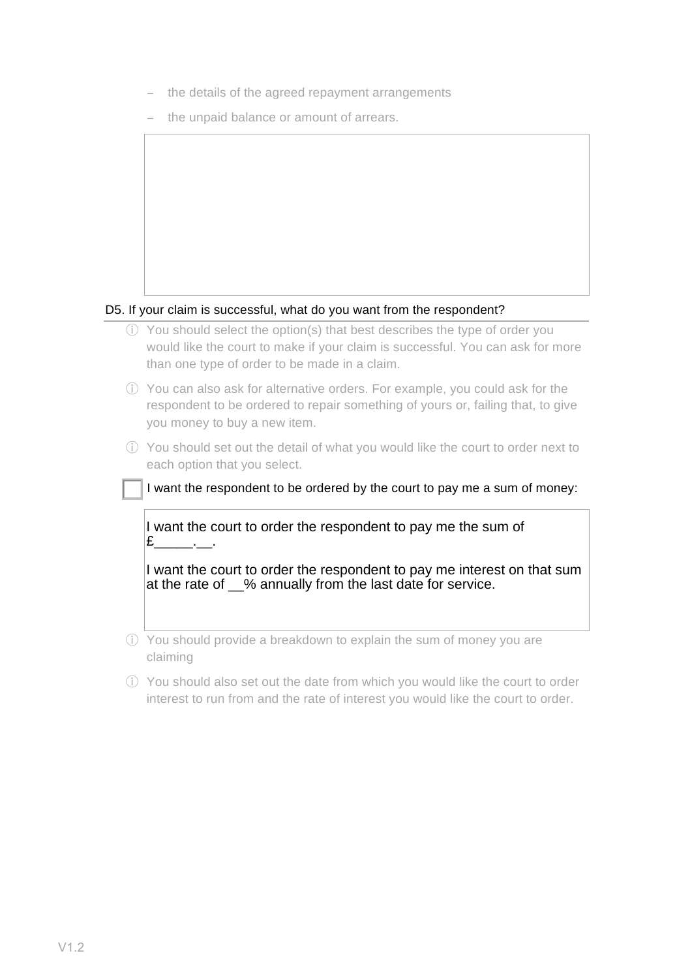- − the details of the agreed repayment arrangements
- − the unpaid balance or amount of arrears.



#### D5. If your claim is successful, what do you want from the respondent?

- ⓘ You should select the option(s) that best describes the type of order you would like the court to make if your claim is successful. You can ask for more than one type of order to be made in a claim.
- ⓘ You can also ask for alternative orders. For example, you could ask for the respondent to be ordered to repair something of yours or, failing that, to give you money to buy a new item.
- ⓘ You should set out the detail of what you would like the court to order next to each option that you select.

I want the respondent to be ordered by the court to pay me a sum of money:

I want the court to order the respondent to pay me the sum of  $E$  .

I want the court to order the respondent to pay me interest on that sum at the rate of % annually from the last date for service.

ⓘ You should provide a breakdown to explain the sum of money you are claiming

ⓘ You should also set out the date from which you would like the court to order interest to run from and the rate of interest you would like the court to order.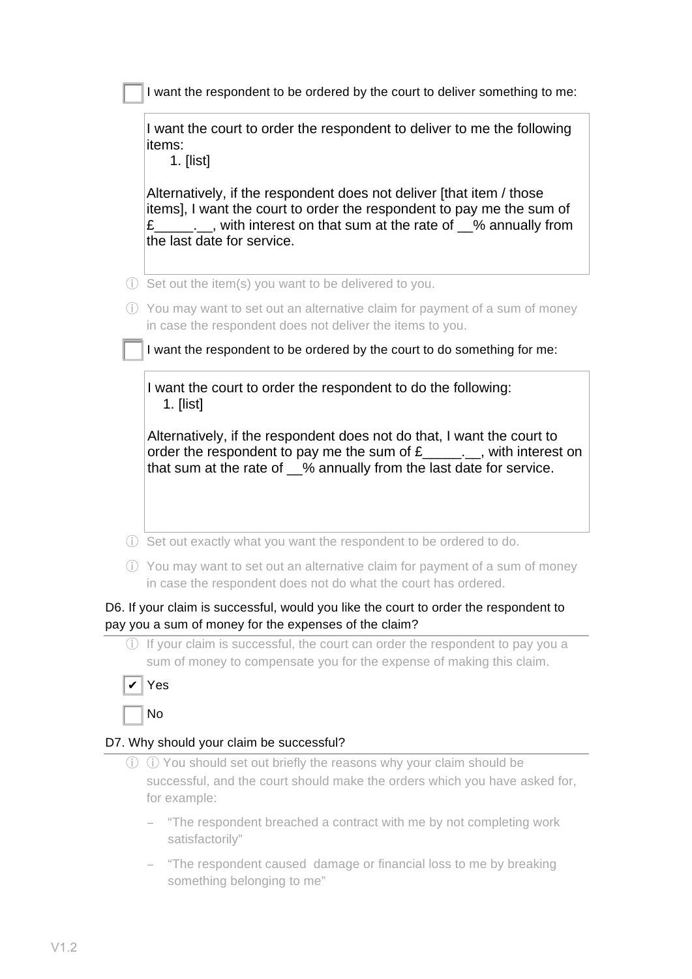| I want the court to order the respondent to deliver to me the following<br>items:<br>1. $[list]$                                                                                                                                                                                                                                                                                           |
|--------------------------------------------------------------------------------------------------------------------------------------------------------------------------------------------------------------------------------------------------------------------------------------------------------------------------------------------------------------------------------------------|
| Alternatively, if the respondent does not deliver [that item / those<br>items], I want the court to order the respondent to pay me the sum of<br>£________, with interest on that sum at the rate of 1% annually from<br>the last date for service.                                                                                                                                        |
| (i) Set out the item(s) you want to be delivered to you.                                                                                                                                                                                                                                                                                                                                   |
| (i) You may want to set out an alternative claim for payment of a sum of money                                                                                                                                                                                                                                                                                                             |
|                                                                                                                                                                                                                                                                                                                                                                                            |
| in case the respondent does not deliver the items to you.                                                                                                                                                                                                                                                                                                                                  |
| I want the respondent to be ordered by the court to do something for me:<br>I want the court to order the respondent to do the following:<br>$1.$ [list]<br>Alternatively, if the respondent does not do that, I want the court to<br>order the respondent to pay me the sum of $E_{\text{max}}$ , with interest on<br>that sum at the rate of 1% annually from the last date for service. |
| 1) Set out exactly what you want the respondent to be ordered to do.                                                                                                                                                                                                                                                                                                                       |

ⓘ If your claim is successful, the court can order the respondent to pay you a sum of money to compensate you for the expense of making this claim.

## ! No

#### D7. Why should your claim be successful?

- ⓘ ⓘ You should set out briefly the reasons why your claim should be successful, and the court should make the orders which you have asked for, for example:
	- − "The respondent breached a contract with me by not completing work satisfactorily"
	- − "The respondent caused damage or financial loss to me by breaking something belonging to me"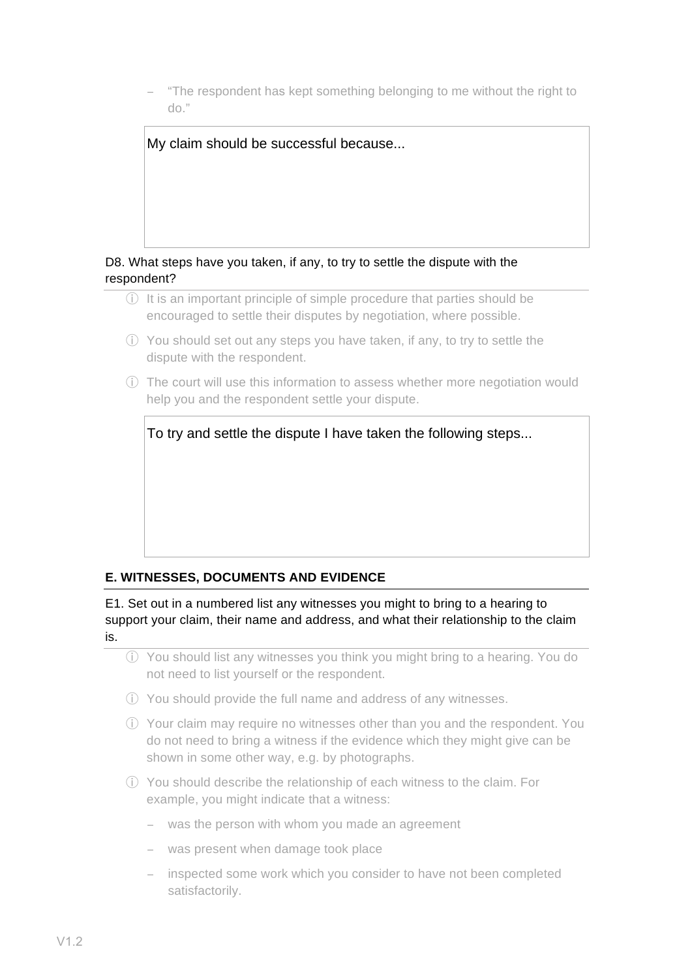− "The respondent has kept something belonging to me without the right to do."



- ⓘ It is an important principle of simple procedure that parties should be encouraged to settle their disputes by negotiation, where possible.
- ⓘ You should set out any steps you have taken, if any, to try to settle the dispute with the respondent.
- ⓘ The court will use this information to assess whether more negotiation would help you and the respondent settle your dispute.

To try and settle the dispute I have taken the following steps...

### **E. WITNESSES, DOCUMENTS AND EVIDENCE**

E1. Set out in a numbered list any witnesses you might to bring to a hearing to support your claim, their name and address, and what their relationship to the claim is.

ⓘ You should list any witnesses you think you might bring to a hearing. You do not need to list yourself or the respondent.

- ⓘ You should provide the full name and address of any witnesses.
- ⓘ Your claim may require no witnesses other than you and the respondent. You do not need to bring a witness if the evidence which they might give can be shown in some other way, e.g. by photographs.
- ⓘ You should describe the relationship of each witness to the claim. For example, you might indicate that a witness:
	- − was the person with whom you made an agreement
	- − was present when damage took place
	- − inspected some work which you consider to have not been completed satisfactorily.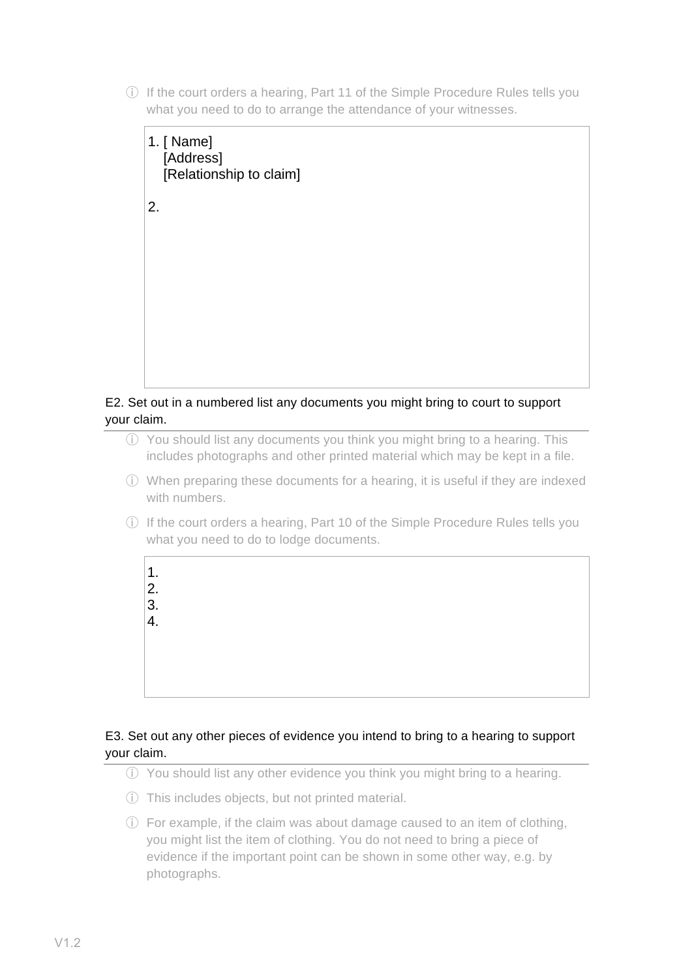ⓘ If the court orders a hearing, Part 11 of the Simple Procedure Rules tells you what you need to do to arrange the attendance of your witnesses.



#### E2. Set out in a numbered list any documents you might bring to court to support your claim.

- ⓘ You should list any documents you think you might bring to a hearing. This includes photographs and other printed material which may be kept in a file.
- ⓘ When preparing these documents for a hearing, it is useful if they are indexed with numbers.
- ⓘ If the court orders a hearing, Part 10 of the Simple Procedure Rules tells you what you need to do to lodge documents.



#### E3. Set out any other pieces of evidence you intend to bring to a hearing to support your claim.

- ⓘ You should list any other evidence you think you might bring to a hearing.
- ⓘ This includes objects, but not printed material.
- ⓘ For example, if the claim was about damage caused to an item of clothing, you might list the item of clothing. You do not need to bring a piece of evidence if the important point can be shown in some other way, e.g. by photographs.